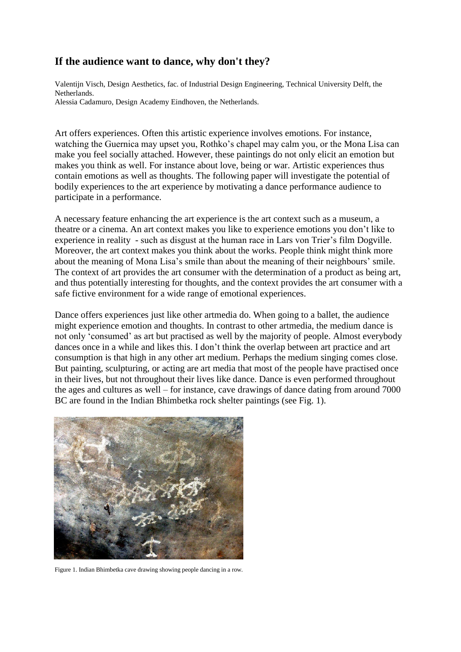## **If the audience want to dance, why don't they?**

Valentijn Visch, Design Aesthetics, fac. of Industrial Design Engineering, Technical University Delft, the Netherlands. Alessia Cadamuro, Design Academy Eindhoven, the Netherlands.

Art offers experiences. Often this artistic experience involves emotions. For instance, watching the Guernica may upset you, Rothko's chapel may calm you, or the Mona Lisa can make you feel socially attached. However, these paintings do not only elicit an emotion but makes you think as well. For instance about love, being or war. Artistic experiences thus contain emotions as well as thoughts. The following paper will investigate the potential of bodily experiences to the art experience by motivating a dance performance audience to participate in a performance.

A necessary feature enhancing the art experience is the art context such as a museum, a theatre or a cinema. An art context makes you like to experience emotions you don't like to experience in reality - such as disgust at the human race in Lars von Trier's film Dogville. Moreover, the art context makes you think about the works. People think might think more about the meaning of Mona Lisa's smile than about the meaning of their neighbours' smile. The context of art provides the art consumer with the determination of a product as being art, and thus potentially interesting for thoughts, and the context provides the art consumer with a safe fictive environment for a wide range of emotional experiences.

Dance offers experiences just like other artmedia do. When going to a ballet, the audience might experience emotion and thoughts. In contrast to other artmedia, the medium dance is not only 'consumed' as art but practised as well by the majority of people. Almost everybody dances once in a while and likes this. I don't think the overlap between art practice and art consumption is that high in any other art medium. Perhaps the medium singing comes close. But painting, sculpturing, or acting are art media that most of the people have practised once in their lives, but not throughout their lives like dance. Dance is even performed throughout the ages and cultures as well – for instance, cave drawings of dance dating from around 7000 BC are found in the Indian Bhimbetka rock shelter paintings (see Fig. 1).



Figure 1. Indian Bhimbetka cave drawing showing people dancing in a row.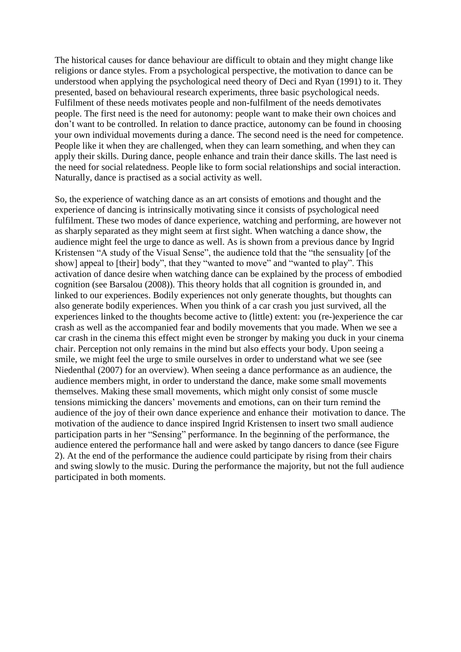The historical causes for dance behaviour are difficult to obtain and they might change like religions or dance styles. From a psychological perspective, the motivation to dance can be understood when applying the psychological need theory of Deci and Ryan (1991) to it. They presented, based on behavioural research experiments, three basic psychological needs. Fulfilment of these needs motivates people and non-fulfilment of the needs demotivates people. The first need is the need for autonomy: people want to make their own choices and don't want to be controlled. In relation to dance practice, autonomy can be found in choosing your own individual movements during a dance. The second need is the need for competence. People like it when they are challenged, when they can learn something, and when they can apply their skills. During dance, people enhance and train their dance skills. The last need is the need for social relatedness. People like to form social relationships and social interaction. Naturally, dance is practised as a social activity as well.

So, the experience of watching dance as an art consists of emotions and thought and the experience of dancing is intrinsically motivating since it consists of psychological need fulfilment. These two modes of dance experience, watching and performing, are however not as sharply separated as they might seem at first sight. When watching a dance show, the audience might feel the urge to dance as well. As is shown from a previous dance by Ingrid Kristensen "A study of the Visual Sense", the audience told that the "the sensuality [of the show] appeal to [their] body", that they "wanted to move" and "wanted to play". This activation of dance desire when watching dance can be explained by the process of embodied cognition (see Barsalou (2008)). This theory holds that all cognition is grounded in, and linked to our experiences. Bodily experiences not only generate thoughts, but thoughts can also generate bodily experiences. When you think of a car crash you just survived, all the experiences linked to the thoughts become active to (little) extent: you (re-)experience the car crash as well as the accompanied fear and bodily movements that you made. When we see a car crash in the cinema this effect might even be stronger by making you duck in your cinema chair. Perception not only remains in the mind but also effects your body. Upon seeing a smile, we might feel the urge to smile ourselves in order to understand what we see (see Niedenthal (2007) for an overview). When seeing a dance performance as an audience, the audience members might, in order to understand the dance, make some small movements themselves. Making these small movements, which might only consist of some muscle tensions mimicking the dancers' movements and emotions, can on their turn remind the audience of the joy of their own dance experience and enhance their motivation to dance. The motivation of the audience to dance inspired Ingrid Kristensen to insert two small audience participation parts in her "Sensing" performance. In the beginning of the performance, the audience entered the performance hall and were asked by tango dancers to dance (see Figure 2). At the end of the performance the audience could participate by rising from their chairs and swing slowly to the music. During the performance the majority, but not the full audience participated in both moments.